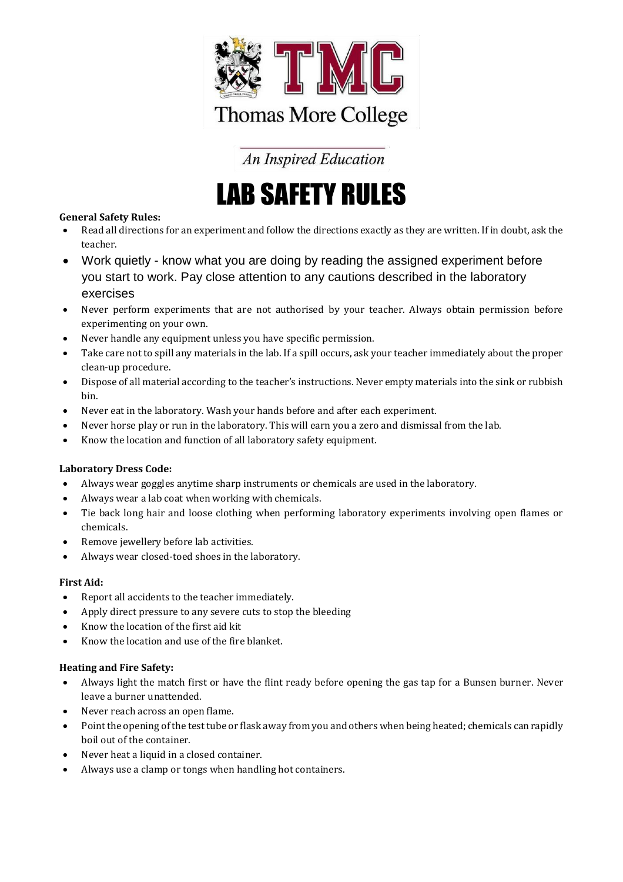

**An Inspired Education** 

## LAB SAFETY RULES

### **General Safety Rules:**

- Read all directions for an experiment and follow the directions exactly as they are written. If in doubt, ask the teacher.
- Work quietly know what you are doing by reading the assigned experiment before you start to work. Pay close attention to any cautions described in the laboratory exercises
- Never perform experiments that are not authorised by your teacher. Always obtain permission before experimenting on your own.
- Never handle any equipment unless you have specific permission.
- Take care not to spill any materials in the lab. If a spill occurs, ask your teacher immediately about the proper clean-up procedure.
- Dispose of all material according to the teacher's instructions. Never empty materials into the sink or rubbish bin.
- Never eat in the laboratory. Wash your hands before and after each experiment.
- Never horse play or run in the laboratory. This will earn you a zero and dismissal from the lab.
- Know the location and function of all laboratory safety equipment.

#### **Laboratory Dress Code:**

- Always wear goggles anytime sharp instruments or chemicals are used in the laboratory.
- Always wear a lab coat when working with chemicals.
- Tie back long hair and loose clothing when performing laboratory experiments involving open flames or chemicals.
- Remove jewellery before lab activities.
- Always wear closed-toed shoes in the laboratory.

#### **First Aid:**

- Report all accidents to the teacher immediately.
- Apply direct pressure to any severe cuts to stop the bleeding
- Know the location of the first aid kit
- Know the location and use of the fire blanket.

#### **Heating and Fire Safety:**

- Always light the match first or have the flint ready before opening the gas tap for a Bunsen burner. Never leave a burner unattended.
- Never reach across an open flame.
- Point the opening of the test tube or flask away from you and others when being heated; chemicals can rapidly boil out of the container.
- Never heat a liquid in a closed container.
- Always use a clamp or tongs when handling hot containers.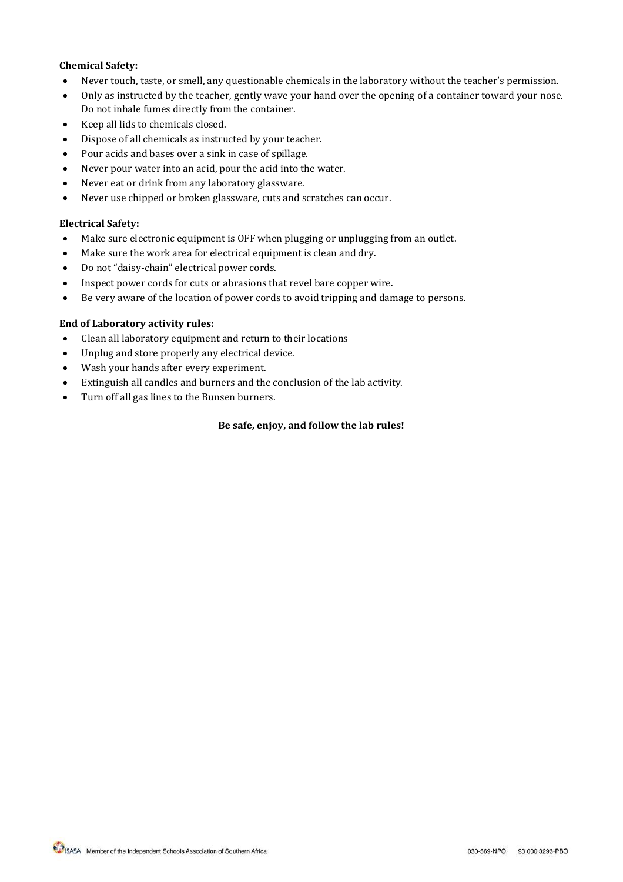#### **Chemical Safety:**

- Never touch, taste, or smell, any questionable chemicals in the laboratory without the teacher's permission.
- Only as instructed by the teacher, gently wave your hand over the opening of a container toward your nose. Do not inhale fumes directly from the container.
- Keep all lids to chemicals closed.
- Dispose of all chemicals as instructed by your teacher.
- Pour acids and bases over a sink in case of spillage.
- Never pour water into an acid, pour the acid into the water.
- Never eat or drink from any laboratory glassware.
- Never use chipped or broken glassware, cuts and scratches can occur.

#### **Electrical Safety:**

- Make sure electronic equipment is OFF when plugging or unplugging from an outlet.
- Make sure the work area for electrical equipment is clean and dry.
- Do not "daisy-chain" electrical power cords.
- Inspect power cords for cuts or abrasions that revel bare copper wire.
- Be very aware of the location of power cords to avoid tripping and damage to persons.

#### **End of Laboratory activity rules:**

- Clean all laboratory equipment and return to their locations
- Unplug and store properly any electrical device.
- Wash your hands after every experiment.
- Extinguish all candles and burners and the conclusion of the lab activity.
- Turn off all gas lines to the Bunsen burners.

#### **Be safe, enjoy, and follow the lab rules!**